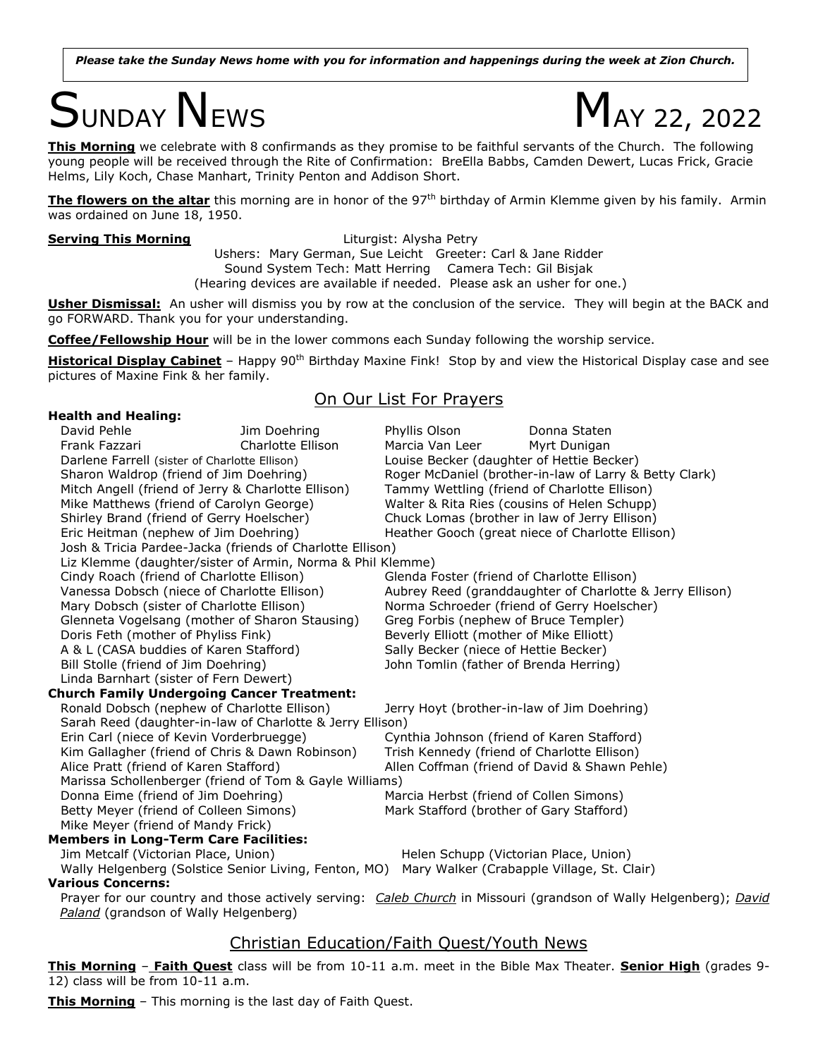*Please take the Sunday News home with you for information and happenings during the week at Zion Church.*

# $S$ UNDAY NEWS  $M_{AY\,22, \,2022}$



**This Morning** we celebrate with 8 confirmands as they promise to be faithful servants of the Church. The following young people will be received through the Rite of Confirmation: BreElla Babbs, Camden Dewert, Lucas Frick, Gracie Helms, Lily Koch, Chase Manhart, Trinity Penton and Addison Short.

**The flowers on the altar** this morning are in honor of the 97<sup>th</sup> birthday of Armin Klemme given by his family. Armin was ordained on June 18, 1950.

**Serving This Morning Example 20 Serving This Morning Liturgist: Alysha Petry** Ushers: Mary German, Sue Leicht Greeter: Carl & Jane Ridder Sound System Tech: Matt Herring Camera Tech: Gil Bisjak (Hearing devices are available if needed. Please ask an usher for one.)

**Usher Dismissal:** An usher will dismiss you by row at the conclusion of the service. They will begin at the BACK and go FORWARD. Thank you for your understanding.

**Coffee/Fellowship Hour** will be in the lower commons each Sunday following the worship service.

**Historical Display Cabinet** – Happy 90<sup>th</sup> Birthday Maxine Fink! Stop by and view the Historical Display case and see pictures of Maxine Fink & her family.

### On Our List For Prayers

| <b>Health and Healing:</b>                                                                        |                                                            |                                                                                     |                                                                                                               |
|---------------------------------------------------------------------------------------------------|------------------------------------------------------------|-------------------------------------------------------------------------------------|---------------------------------------------------------------------------------------------------------------|
| David Pehle                                                                                       | Jim Doehring                                               | Phyllis Olson                                                                       | Donna Staten                                                                                                  |
| Frank Fazzari                                                                                     | Charlotte Ellison                                          | Marcia Van Leer                                                                     | Myrt Dunigan                                                                                                  |
| Darlene Farrell (sister of Charlotte Ellison)                                                     |                                                            |                                                                                     | Louise Becker (daughter of Hettie Becker)                                                                     |
| Sharon Waldrop (friend of Jim Doehring)                                                           |                                                            | Roger McDaniel (brother-in-law of Larry & Betty Clark)                              |                                                                                                               |
| Mitch Angell (friend of Jerry & Charlotte Ellison)                                                |                                                            | Tammy Wettling (friend of Charlotte Ellison)                                        |                                                                                                               |
| Mike Matthews (friend of Carolyn George)                                                          |                                                            | Walter & Rita Ries (cousins of Helen Schupp)                                        |                                                                                                               |
| Shirley Brand (friend of Gerry Hoelscher)                                                         |                                                            | Chuck Lomas (brother in law of Jerry Ellison)                                       |                                                                                                               |
| Eric Heitman (nephew of Jim Doehring)                                                             |                                                            | Heather Gooch (great niece of Charlotte Ellison)                                    |                                                                                                               |
|                                                                                                   | Josh & Tricia Pardee-Jacka (friends of Charlotte Ellison)  |                                                                                     |                                                                                                               |
|                                                                                                   | Liz Klemme (daughter/sister of Armin, Norma & Phil Klemme) |                                                                                     |                                                                                                               |
| Cindy Roach (friend of Charlotte Ellison)                                                         |                                                            | Glenda Foster (friend of Charlotte Ellison)                                         |                                                                                                               |
| Vanessa Dobsch (niece of Charlotte Ellison)                                                       |                                                            | Aubrey Reed (granddaughter of Charlotte & Jerry Ellison)                            |                                                                                                               |
| Mary Dobsch (sister of Charlotte Ellison)                                                         |                                                            | Norma Schroeder (friend of Gerry Hoelscher)                                         |                                                                                                               |
| Glenneta Vogelsang (mother of Sharon Stausing)                                                    |                                                            | Greg Forbis (nephew of Bruce Templer)                                               |                                                                                                               |
| Doris Feth (mother of Phyliss Fink)                                                               |                                                            | Beverly Elliott (mother of Mike Elliott)                                            |                                                                                                               |
| A & L (CASA buddies of Karen Stafford)                                                            |                                                            | Sally Becker (niece of Hettie Becker)                                               |                                                                                                               |
| Bill Stolle (friend of Jim Doehring)                                                              |                                                            | John Tomlin (father of Brenda Herring)                                              |                                                                                                               |
| Linda Barnhart (sister of Fern Dewert)                                                            |                                                            |                                                                                     |                                                                                                               |
|                                                                                                   | <b>Church Family Undergoing Cancer Treatment:</b>          |                                                                                     |                                                                                                               |
| Ronald Dobsch (nephew of Charlotte Ellison)                                                       |                                                            | Jerry Hoyt (brother-in-law of Jim Doehring)                                         |                                                                                                               |
|                                                                                                   | Sarah Reed (daughter-in-law of Charlotte & Jerry Ellison)  |                                                                                     |                                                                                                               |
| Erin Carl (niece of Kevin Vorderbruegge)                                                          |                                                            | Cynthia Johnson (friend of Karen Stafford)                                          |                                                                                                               |
| Kim Gallagher (friend of Chris & Dawn Robinson)                                                   |                                                            | Trish Kennedy (friend of Charlotte Ellison)                                         |                                                                                                               |
| Alice Pratt (friend of Karen Stafford)<br>Marissa Schollenberger (friend of Tom & Gayle Williams) |                                                            | Allen Coffman (friend of David & Shawn Pehle)                                       |                                                                                                               |
|                                                                                                   |                                                            |                                                                                     |                                                                                                               |
| Donna Eime (friend of Jim Doehring)                                                               |                                                            |                                                                                     | Marcia Herbst (friend of Collen Simons)                                                                       |
| Betty Meyer (friend of Colleen Simons)                                                            |                                                            |                                                                                     | Mark Stafford (brother of Gary Stafford)                                                                      |
| Mike Meyer (friend of Mandy Frick)                                                                |                                                            |                                                                                     |                                                                                                               |
| <b>Members in Long-Term Care Facilities:</b>                                                      |                                                            |                                                                                     |                                                                                                               |
| Jim Metcalf (Victorian Place, Union)<br>Wally Helgenberg (Solstice Senior Living, Fenton, MO)     |                                                            | Helen Schupp (Victorian Place, Union)<br>Mary Walker (Crabapple Village, St. Clair) |                                                                                                               |
| <b>Various Concerns:</b>                                                                          |                                                            |                                                                                     |                                                                                                               |
|                                                                                                   |                                                            |                                                                                     | Prayer for our country and those actively serving: Caleb Church in Missouri (grandson of Wally Helgenberg): C |

er for our country and those actively serving: <u>Caleb Church</u> in Missouri (grandson of Wally Helgenberg); <u>David</u> *Paland* (grandson of Wally Helgenberg)

## Christian Education/Faith Quest/Youth News

**This Morning** – **Faith Quest** class will be from 10-11 a.m. meet in the Bible Max Theater. **Senior High** (grades 9- 12) class will be from 10-11 a.m.

**This Morning** – This morning is the last day of Faith Quest.